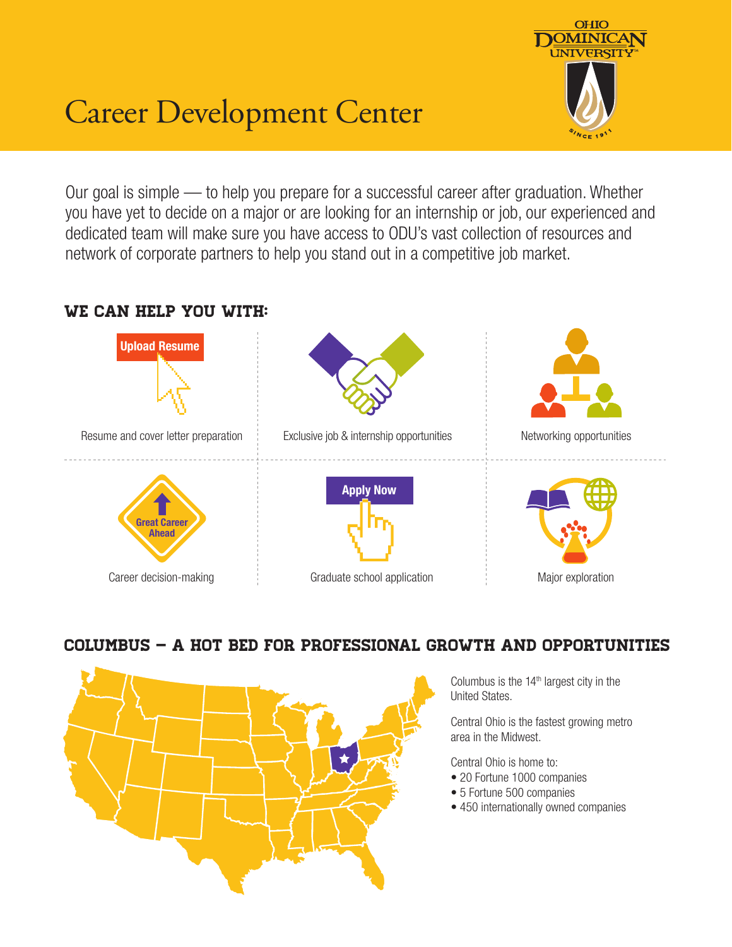

# Career Development Center

Our goal is simple — to help you prepare for a successful career after graduation. Whether you have yet to decide on a major or are looking for an internship or job, our experienced and dedicated team will make sure you have access to ODU's vast collection of resources and network of corporate partners to help you stand out in a competitive job market.

#### We can help you with:



### Columbus – A Hot Bed for Professional Growth and Opportunities



Columbus is the  $14<sup>th</sup>$  largest city in the United States.

Central Ohio is the fastest growing metro area in the Midwest.

Central Ohio is home to:

- 20 Fortune 1000 companies
- 5 Fortune 500 companies
- 450 internationally owned companies